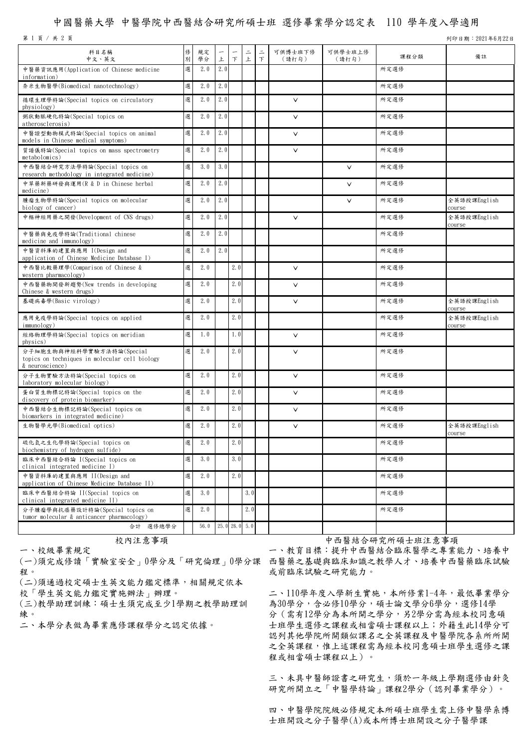## 中國醫藥大學 中醫學院中西醫結合研究所碩士班 選修畢業學分認定表 110 學年度入學適用

第 1 頁 / 共 2 頁 기 9221年6月22日 カランド・シーク 2010年6月22日 カランド・シーク 2010年6月22日 ランド・シーク 3月22日 ランド・シーク 3月22日 ランド・シーク 3月22日 ランド・シーク 3月22日

| 科目名稱<br>中文、英文                                                                                  | 俢<br>別 | 規定<br>學分 | -<br>上 | $\top$ | $\equiv$<br>上 | $\equiv$<br>$\top$ | 可供博士班下修<br>(請打勾) | 可供學士班上修<br>(請打勾) | 課程分類 | 備註                     |
|------------------------------------------------------------------------------------------------|--------|----------|--------|--------|---------------|--------------------|------------------|------------------|------|------------------------|
| 中醫藥資訊應用(Application of Chinese medicine<br>information)                                        | 選      | 2.0      | 2.0    |        |               |                    |                  |                  | 所定選修 |                        |
| 奈米生物醫學(Biomedical nanotechnology)                                                              | 選      | 2.0      | 2.0    |        |               |                    |                  |                  | 所定選修 |                        |
| 循環生理學特論(Special topics on circulatory<br>physiology)                                           | 選      | 2.0      | 2.0    |        |               |                    | $\vee$           |                  | 所定選修 |                        |
| 粥狀動脈硬化特論(Special topics on<br>atherosclerosis)                                                 | 選      | 2.0      | 2.0    |        |               |                    | $\vee$           |                  | 所定選修 |                        |
| 中醫證型動物模式特論(Special topics on animal<br>models in Chinese medical symptoms)                     | 選      | 2.0      | 2.0    |        |               |                    | $\vee$           |                  | 所定選修 |                        |
| 質譜儀特論(Special topics on mass spectrometry<br>metabolomics)                                     | 選      | 2.0      | 2.0    |        |               |                    | $\vee$           |                  | 所定選修 |                        |
| 中西醫結合研究方法學特論(Special topics on<br>research methodology in integrated medicine)                 | 選      | 3.0      | 3.0    |        |               |                    |                  | $\vee$           | 所定選修 |                        |
| 中草藥新藥研發與運用(R & D in Chinese herbal<br>medicine)                                                | 選      | 2.0      | 2.0    |        |               |                    |                  | $\vee$           | 所定選修 |                        |
| 腫瘤生物學特論(Special topics on molecular<br>biology of cancer)                                      | 選      | 2.0      | 2.0    |        |               |                    |                  | $\vee$           | 所定選修 | 全英語授課English<br>course |
| 中樞神經用藥之開發(Development of CNS drugs)                                                            | 選      | 2.0      | 2.0    |        |               |                    | $\vee$           |                  | 所定選修 | 全英語授課English<br>course |
| 中醫藥與免疫學特論(Traditional chinese<br>medicine and immunology)                                      | 選      | 2.0      | 2.0    |        |               |                    |                  |                  | 所定選修 |                        |
| 中醫資料庫的建置與應用 I(Design and<br>application of Chinese Medicine Database I)                        | 選      | 2.0      | 2.0    |        |               |                    |                  |                  | 所定選修 |                        |
| 中西醫比較藥理學(Comparison of Chinese &<br>western pharmacology)                                      | 選      | 2.0      |        | 2.0    |               |                    | $\vee$           |                  | 所定選修 |                        |
| 中西醫藥物開發新趨勢(New trends in developing<br>Chinese & western drugs)                                | 選      | 2.0      |        | 2.0    |               |                    | $\vee$           |                  | 所定選修 |                        |
| 基礎病毒學(Basic virology)                                                                          | 選      | 2.0      |        | 2.0    |               |                    | $\vee$           |                  | 所定選修 | 全英語授課English<br>course |
| 應用免疫學特論(Special topics on applied<br>immunology)                                               | 選      | 2.0      |        | 2.0    |               |                    |                  |                  | 所定選修 | 全英語授課English<br>course |
| 經絡物理學特論(Special topics on meridian<br>physics)                                                 | 選      | 1.0      |        | 1.0    |               |                    | $\vee$           |                  | 所定選修 |                        |
| 分子細胞生物與神經科學實驗方法特論(Special<br>topics on techniques in molecular cell biology<br>& neuroscience) | 選      | 2.0      |        | 2.0    |               |                    | $\vee$           |                  | 所定選修 |                        |
| 分子生物實驗方法特論(Special topics on<br>laboratory molecular biology)                                  | 選      | 2.0      |        | 2.0    |               |                    | $\vee$           |                  | 所定選修 |                        |
| 蛋白質生物標記特論(Special topics on the<br>discovery of protein biomarker)                             | 選      | 2.0      |        | 2.0    |               |                    | $\checkmark$     |                  | 所定選修 |                        |
| 中西醫結合生物標記特論(Special topics on<br>biomarkers in integrated medicine)                            | 選      | 2.0      |        | 2.0    |               |                    | $\vee$           |                  | 所定選修 |                        |
| 生物醫學光學(Biomedical optics)                                                                      | 選      | 2.0      |        | 2.0    |               |                    | $\checkmark$     |                  | 所定選修 | 全英語授課English<br>course |
| 硫化氫之生化學特論(Special topics on<br>biochemistry of hydrogen sulfide)                               | 選      | 2.0      |        | 2.0    |               |                    |                  |                  | 所定選修 |                        |
| 臨床中西醫結合特論 I(Special topics on<br>clinical integrated medicine I)                               | 選      | 3.0      |        | 3.0    |               |                    |                  |                  | 所定選修 |                        |
| 中醫資料庫的建置與應用 II(Design and<br>application of Chinese Medicine Database II)                      | 選      | 2.0      |        | 2.0    |               |                    |                  |                  | 所定選修 |                        |
| 臨床中西醫結合特論 II(Special topics on<br>clinical integrated medicine II)                             | 選      | 3.0      |        |        | 3.0           |                    |                  |                  | 所定選修 |                        |
| 分子腫瘤學與抗癌藥設計特論(Special topics on<br>tumor molecular & anticancer pharmacology)                  | 選      | 2.0      |        |        | 2.0           |                    |                  |                  | 所定選修 |                        |
| 合計 選修總學分                                                                                       |        | 56.0     |        |        | 25.0 26.0 5.0 |                    |                  |                  |      |                        |

一、校級畢業規定

程。

(二)須通過校定碩士生英文能力鑑定標準,相關規定依本

校「學生英文能力鑑定實施辦法」辦理。

(三)教學助理訓練:碩士生須完成至少1學期之教學助理訓

練。<br>二、本學分表做為畢業應修課程學分之認定依據。

校內注意事項 有一個 中西醫結合研究所碩士班注意事項

(一)須完成修讀「實驗室安全」0學分及「研究倫理」0學分課 西醫藥之基礎與臨床知識之教學人才、培養中西醫藥臨床試驗 一、教育目標:提升中西醫結合臨床醫學之專業能力、培養中 或前臨床試驗之研究能力。

> 二、110學年度入學新生實施,本所修業1-4年,最低畢業學分 為30學分,含必修10學分,碩士論文學分6學分,選修14學 分(需有12學分為本所開之學分,另2學分需為經本校同意碩 士班學生選修之課程或相當碩士課程以上;外籍生此14學分可 認列其他學院所開類似課名之全英課程及中醫學院各系所所開 之全英課程,惟上述課程需為經本校同意碩士班學生選修之課 程或相當碩士課程以上)。

> 三、未具中醫師證書之研究生,須於一年級上學期選修由針灸 研究所開立之「中醫學特論」課程2學分(認列畢業學分)。

> 四、中醫學院院級必修規定本所碩士班學生需上修中醫學系博 士班開設之分子醫學(A)或本所博士班開設之分子醫學課